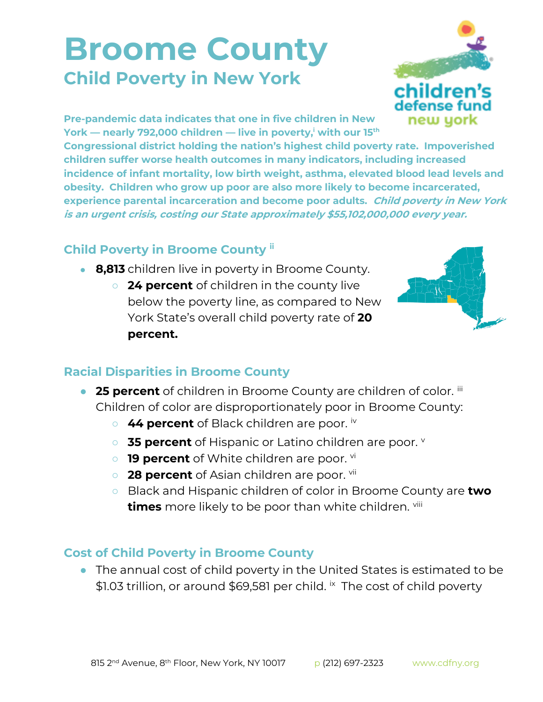## **Broome County Child Poverty in New York**



**Pre-pandemic data indicates that one in five children in New York — nearly 792,000 children — live in poverty,<sup>i</sup> with our 15th**

**Congressional district holding the nation's highest child poverty rate. Impoverished children suffer worse health outcomes in many indicators, including increased incidence of infant mortality, low birth weight, asthma, elevated blood lead levels and obesity. Children who grow up poor are also more likely to become incarcerated, experience parental incarceration and become poor adults. Child poverty in New York is an urgent crisis, costing our State approximately \$55,102,000,000 every year.**

## **Child Poverty in Broome County ii**

- **8,813** children live in poverty in Broome County.
	- **24 percent** of children in the county live below the poverty line, as compared to New York State's overall child poverty rate of **20 percent.**



## **Racial Disparities in Broome County**

- **25 percent** of children in Broome County are children of color. iii Children of color are disproportionately poor in Broome County:
	- **44 percent** of Black children are poor.  $^{\text{iv}}$
	- **35 percent** of Hispanic or Latino children are poor.
	- **19 percent** of White children are poor. vi
	- **28 percent** of Asian children are poor. <sup>vii</sup>
	- Black and Hispanic children of color in Broome County are **two times** more likely to be poor than white children. viii

## **Cost of Child Poverty in Broome County**

● The annual cost of child poverty in the United States is estimated to be \$1.03 trillion, or around \$69,581 per child. <sup>ix</sup> The cost of child poverty